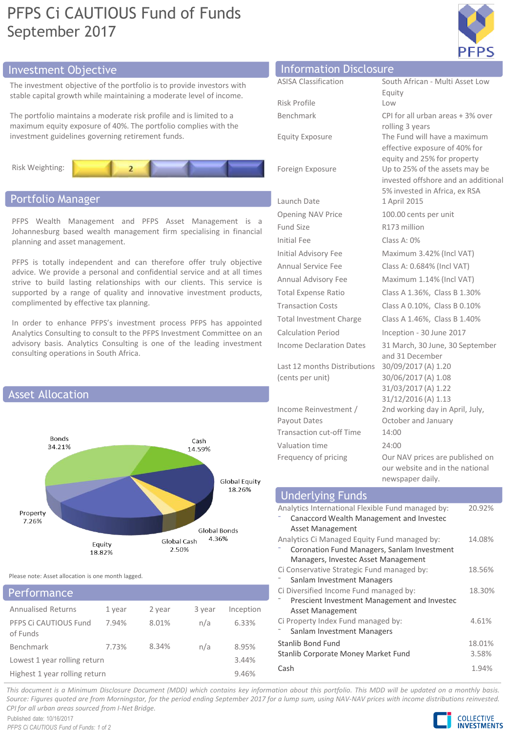# PFPS Ci CAUTIOUS Fund of Funds September 2017



# Investment Objective

The investment objective of the portfolio is to provide investors with stable capital growth while maintaining a moderate level of income.

The portfolio maintains a moderate risk profile and is limited to a maximum equity exposure of 40%. The portfolio complies with the investment guidelines governing retirement funds.



# Portfolio Manager

PFPS Wealth Management and PFPS Asset Management is a Johannesburg based wealth management firm specialising in financial planning and asset management.

PFPS is totally independent and can therefore offer truly objective advice. We provide a personal and confidential service and at all times strive to build lasting relationships with our clients. This service is supported by a range of quality and innovative investment products, complimented by effective tax planning.

In order to enhance PFPS's investment process PFPS has appointed Analytics Consulting to consult to the PFPS Investment Committee on an advisory basis. Analytics Consulting is one of the leading investment consulting operations in South Africa.



Please note: Asset allocation is one month lagged.

| Performance                       |        |        |        |           |
|-----------------------------------|--------|--------|--------|-----------|
| <b>Annualised Returns</b>         | 1 year | 2 year | 3 year | Inception |
| PFPS Ci CAUTIOUS Fund<br>of Funds | 7.94%  | 8.01%  | n/a    | 6.33%     |
| <b>Benchmark</b>                  | 7.73%  | 8.34%  | n/a    | 8.95%     |
| Lowest 1 year rolling return      |        |        |        | 3.44%     |
| Highest 1 year rolling return     |        |        |        | 9.46%     |

| Information Disclosure          |                                                 |
|---------------------------------|-------------------------------------------------|
| <b>ASISA Classification</b>     | South African - Multi Asset Low                 |
|                                 | Equity                                          |
| Risk Profile                    | Low                                             |
| Benchmark                       | CPI for all urban areas + 3% over               |
| <b>Equity Exposure</b>          | rolling 3 years<br>The Fund will have a maximum |
|                                 | effective exposure of 40% for                   |
|                                 | equity and 25% for property                     |
| Foreign Exposure                | Up to 25% of the assets may be                  |
|                                 | invested offshore and an additional             |
|                                 | 5% invested in Africa, ex RSA                   |
| Launch Date                     | 1 April 2015                                    |
| <b>Opening NAV Price</b>        | 100.00 cents per unit                           |
| Fund Size                       | R173 million                                    |
| Initial Fee                     | Class A: 0%                                     |
| Initial Advisory Fee            | Maximum 3.42% (Incl VAT)                        |
| Annual Service Fee              | Class A: 0.684% (Incl VAT)                      |
| Annual Advisory Fee             | Maximum 1.14% (Incl VAT)                        |
| <b>Total Expense Ratio</b>      | Class A 1.36%, Class B 1.30%                    |
| <b>Transaction Costs</b>        | Class A 0.10%, Class B 0.10%                    |
| <b>Total Investment Charge</b>  | Class A 1.46%, Class B 1.40%                    |
| <b>Calculation Period</b>       | Inception - 30 June 2017                        |
| <b>Income Declaration Dates</b> | 31 March, 30 June, 30 September                 |
|                                 | and 31 December                                 |
| Last 12 months Distributions    | 30/09/2017 (A) 1.20                             |
| (cents per unit)                | 30/06/2017 (A) 1.08                             |
|                                 | 31/03/2017 (A) 1.22<br>31/12/2016 (A) 1.13      |
| Income Reinvestment /           | 2nd working day in April, July,                 |
| Payout Dates                    | October and January                             |
| <b>Transaction cut-off Time</b> | 14:00                                           |

Frequency of pricing **OUR DET OUR DETE OUR DETE** published on our website and in the national newspaper daily.

| <b>Underlying Funds</b>                           |        |
|---------------------------------------------------|--------|
| Analytics International Flexible Fund managed by: | 20.92% |
| Canaccord Wealth Management and Investec          |        |
| Asset Management                                  |        |
| Analytics Ci Managed Equity Fund managed by:      | 14.08% |
| Coronation Fund Managers, Sanlam Investment       |        |
| Managers, Investec Asset Management               |        |
| Ci Conservative Strategic Fund managed by:        | 18.56% |
| Sanlam Investment Managers                        |        |
| Ci Diversified Income Fund managed by:            | 18.30% |
| Prescient Investment Management and Investec      |        |
| Asset Management                                  |        |
| Ci Property Index Fund managed by:                | 4.61%  |
| Sanlam Investment Managers                        |        |
| Stanlib Bond Fund                                 | 18.01% |
| Stanlib Corporate Money Market Fund               | 3.58%  |
| Cash                                              | 1.94%  |

Valuation time 24:00

This document is a Minimum Disclosure Document (MDD) which contains key information about this portfolio. This MDD will be updated on a monthly basis. Source: Figures quoted are from Morningstar, for the period ending September 2017 for a lump sum, using NAV-NAV prices with income distributions reinvested. *CPI for all urban areas sourced from I-Net Bridge.*

Published date: 10/16/2017 *PFPS Ci CAUTIOUS Fund of Funds: 1 of 2*